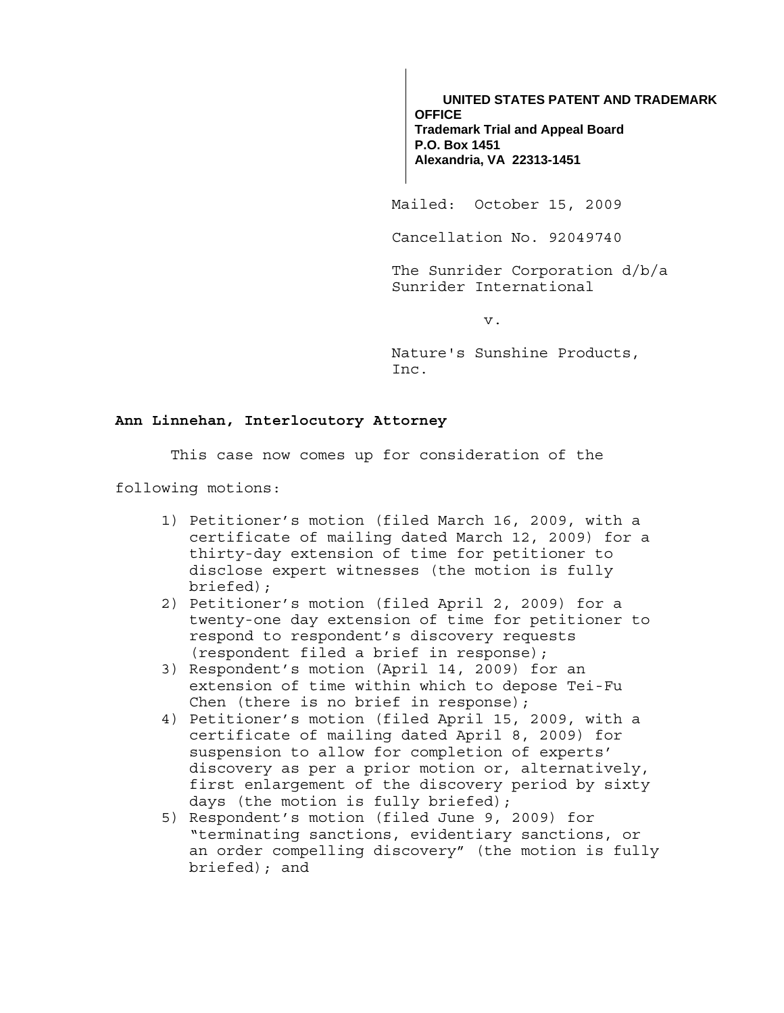**UNITED STATES PATENT AND TRADEMARK OFFICE Trademark Trial and Appeal Board P.O. Box 1451 Alexandria, VA 22313-1451**

Mailed: October 15, 2009

Cancellation No. 92049740

The Sunrider Corporation d/b/a Sunrider International

v.

Nature's Sunshine Products, Inc.

# **Ann Linnehan, Interlocutory Attorney**

This case now comes up for consideration of the

following motions:

- 1) Petitioner's motion (filed March 16, 2009, with a certificate of mailing dated March 12, 2009) for a thirty-day extension of time for petitioner to disclose expert witnesses (the motion is fully briefed);
- 2) Petitioner's motion (filed April 2, 2009) for a twenty-one day extension of time for petitioner to respond to respondent's discovery requests (respondent filed a brief in response);
- 3) Respondent's motion (April 14, 2009) for an extension of time within which to depose Tei-Fu Chen (there is no brief in response);
- 4) Petitioner's motion (filed April 15, 2009, with a certificate of mailing dated April 8, 2009) for suspension to allow for completion of experts' discovery as per a prior motion or, alternatively, first enlargement of the discovery period by sixty days (the motion is fully briefed);
- 5) Respondent's motion (filed June 9, 2009) for "terminating sanctions, evidentiary sanctions, or an order compelling discovery" (the motion is fully briefed); and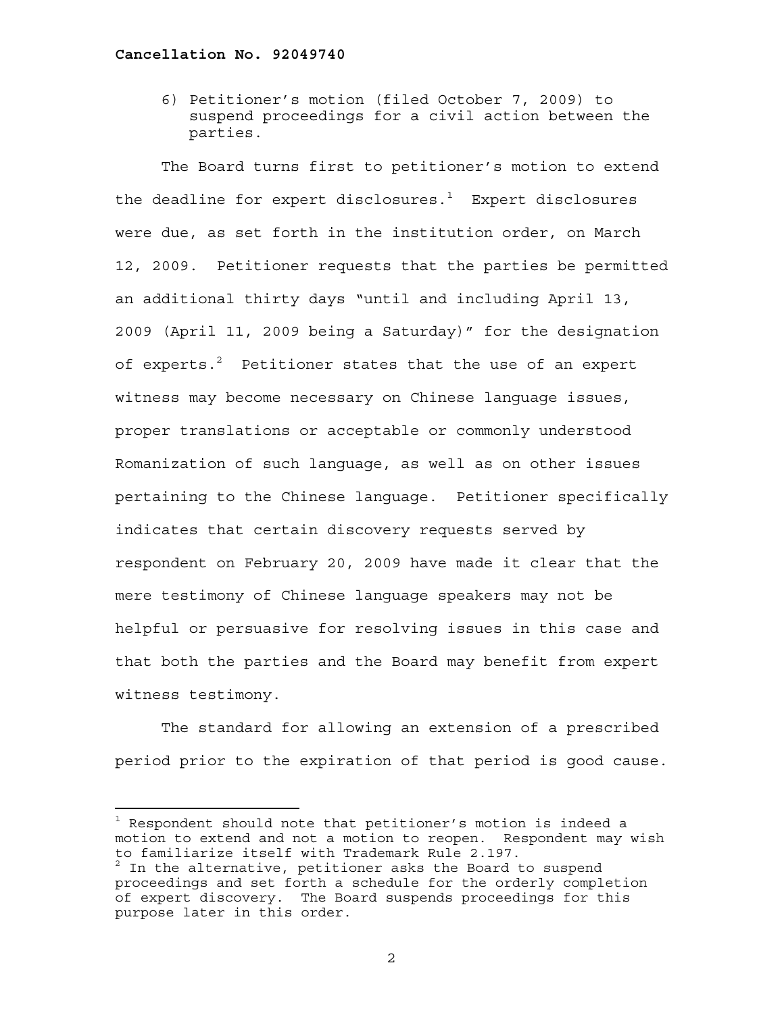6) Petitioner's motion (filed October 7, 2009) to suspend proceedings for a civil action between the parties.

The Board turns first to petitioner's motion to extend the deadline for expert disclosures. $^{\rm 1}$  Expert disclosures were due, as set forth in the institution order, on March 12, 2009. Petitioner requests that the parties be permitted an additional thirty days "until and including April 13, 2009 (April 11, 2009 being a Saturday)" for the designation of experts. $^2$  Petitioner states that the use of an expert witness may become necessary on Chinese language issues, proper translations or acceptable or commonly understood Romanization of such language, as well as on other issues pertaining to the Chinese language. Petitioner specifically indicates that certain discovery requests served by respondent on February 20, 2009 have made it clear that the mere testimony of Chinese language speakers may not be helpful or persuasive for resolving issues in this case and that both the parties and the Board may benefit from expert witness testimony.

The standard for allowing an extension of a prescribed period prior to the expiration of that period is good cause.

 $^1$  Respondent should note that petitioner's motion is indeed a motion to extend and not a motion to reopen. Respondent may wish to familiarize itself with Trademark Rule 2.197.

 $^2$  In the alternative, petitioner asks the Board to suspend proceedings and set forth a schedule for the orderly completion of expert discovery. The Board suspends proceedings for this purpose later in this order.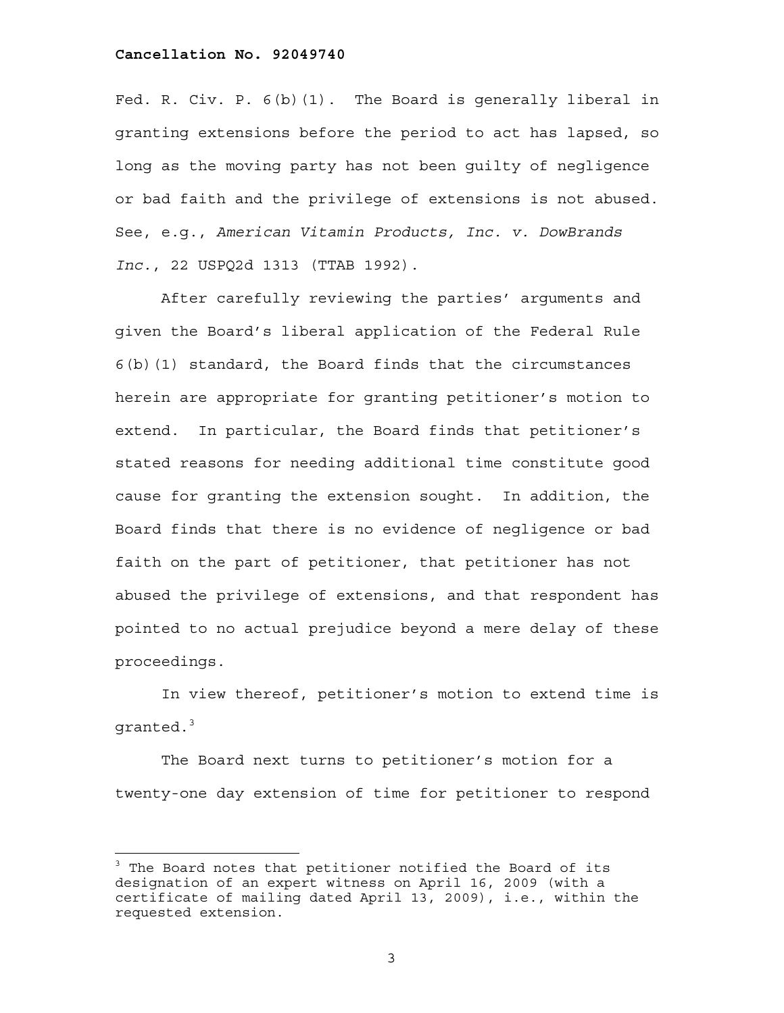Fed. R. Civ. P. 6(b)(1). The Board is generally liberal in granting extensions before the period to act has lapsed, so long as the moving party has not been guilty of negligence or bad faith and the privilege of extensions is not abused. See, e.g., *American Vitamin Products, Inc. v. DowBrands Inc.*, 22 USPQ2d 1313 (TTAB 1992).

After carefully reviewing the parties' arguments and given the Board's liberal application of the Federal Rule 6(b)(1) standard, the Board finds that the circumstances herein are appropriate for granting petitioner's motion to extend. In particular, the Board finds that petitioner's stated reasons for needing additional time constitute good cause for granting the extension sought. In addition, the Board finds that there is no evidence of negligence or bad faith on the part of petitioner, that petitioner has not abused the privilege of extensions, and that respondent has pointed to no actual prejudice beyond a mere delay of these proceedings.

In view thereof, petitioner's motion to extend time is granted. $^3$ 

 The Board next turns to petitioner's motion for a twenty-one day extension of time for petitioner to respond

÷.

<sup>&</sup>lt;sup>3</sup> The Board notes that petitioner notified the Board of its designation of an expert witness on April 16, 2009 (with a certificate of mailing dated April 13, 2009), i.e., within the requested extension.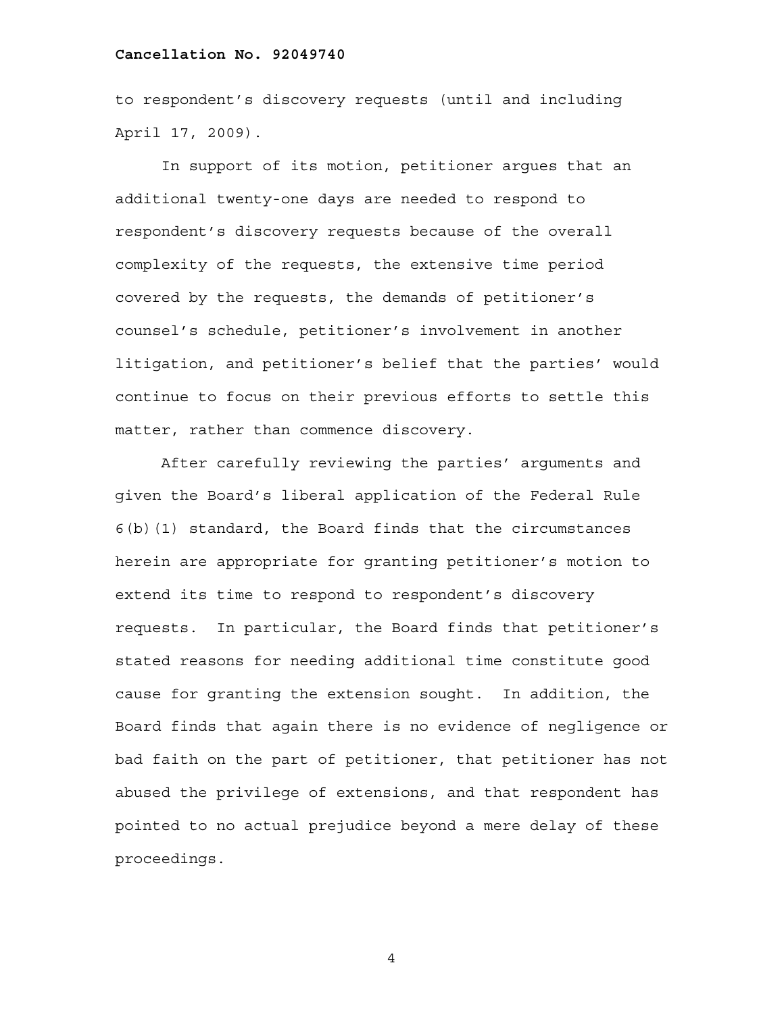to respondent's discovery requests (until and including April 17, 2009).

 In support of its motion, petitioner argues that an additional twenty-one days are needed to respond to respondent's discovery requests because of the overall complexity of the requests, the extensive time period covered by the requests, the demands of petitioner's counsel's schedule, petitioner's involvement in another litigation, and petitioner's belief that the parties' would continue to focus on their previous efforts to settle this matter, rather than commence discovery.

After carefully reviewing the parties' arguments and given the Board's liberal application of the Federal Rule 6(b)(1) standard, the Board finds that the circumstances herein are appropriate for granting petitioner's motion to extend its time to respond to respondent's discovery requests. In particular, the Board finds that petitioner's stated reasons for needing additional time constitute good cause for granting the extension sought. In addition, the Board finds that again there is no evidence of negligence or bad faith on the part of petitioner, that petitioner has not abused the privilege of extensions, and that respondent has pointed to no actual prejudice beyond a mere delay of these proceedings.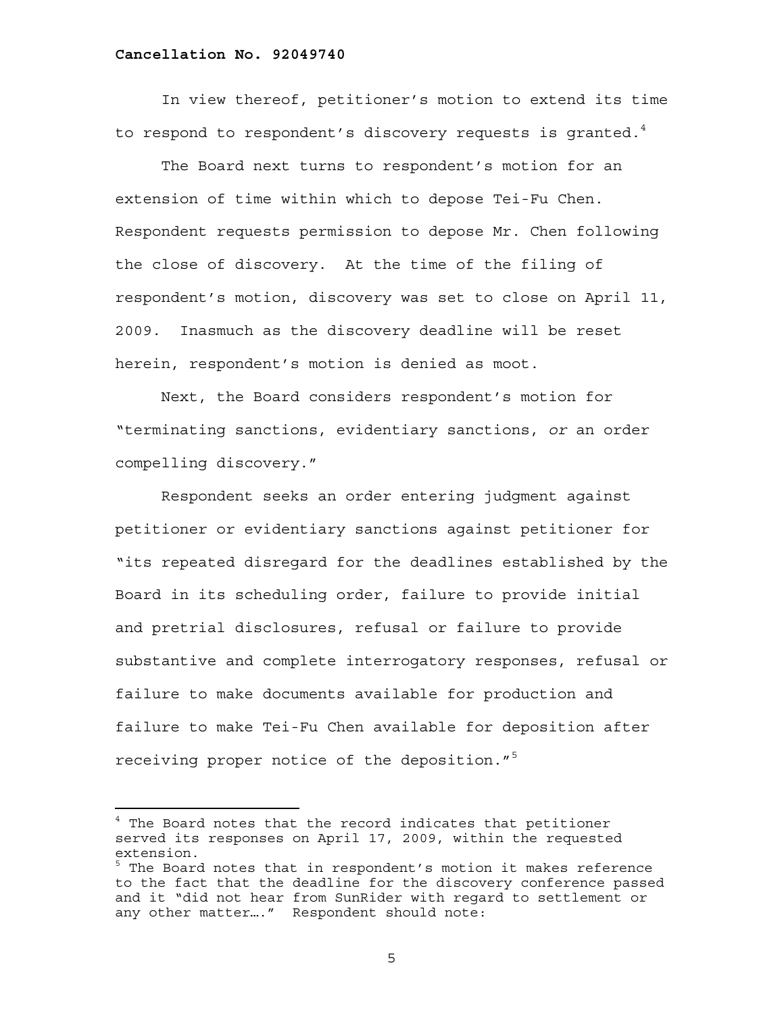In view thereof, petitioner's motion to extend its time to respond to respondent's discovery requests is granted.<sup>4</sup>

The Board next turns to respondent's motion for an extension of time within which to depose Tei-Fu Chen. Respondent requests permission to depose Mr. Chen following the close of discovery. At the time of the filing of respondent's motion, discovery was set to close on April 11, 2009. Inasmuch as the discovery deadline will be reset herein, respondent's motion is denied as moot.

Next, the Board considers respondent's motion for "terminating sanctions, evidentiary sanctions, *or* an order compelling discovery."

Respondent seeks an order entering judgment against petitioner or evidentiary sanctions against petitioner for "its repeated disregard for the deadlines established by the Board in its scheduling order, failure to provide initial and pretrial disclosures, refusal or failure to provide substantive and complete interrogatory responses, refusal or failure to make documents available for production and failure to make Tei-Fu Chen available for deposition after receiving proper notice of the deposition."5

÷,

<sup>&</sup>lt;sup>4</sup> The Board notes that the record indicates that petitioner served its responses on April 17, 2009, within the requested extension.

<sup>&</sup>lt;sup>5</sup> The Board notes that in respondent's motion it makes reference to the fact that the deadline for the discovery conference passed and it "did not hear from SunRider with regard to settlement or any other matter…." Respondent should note: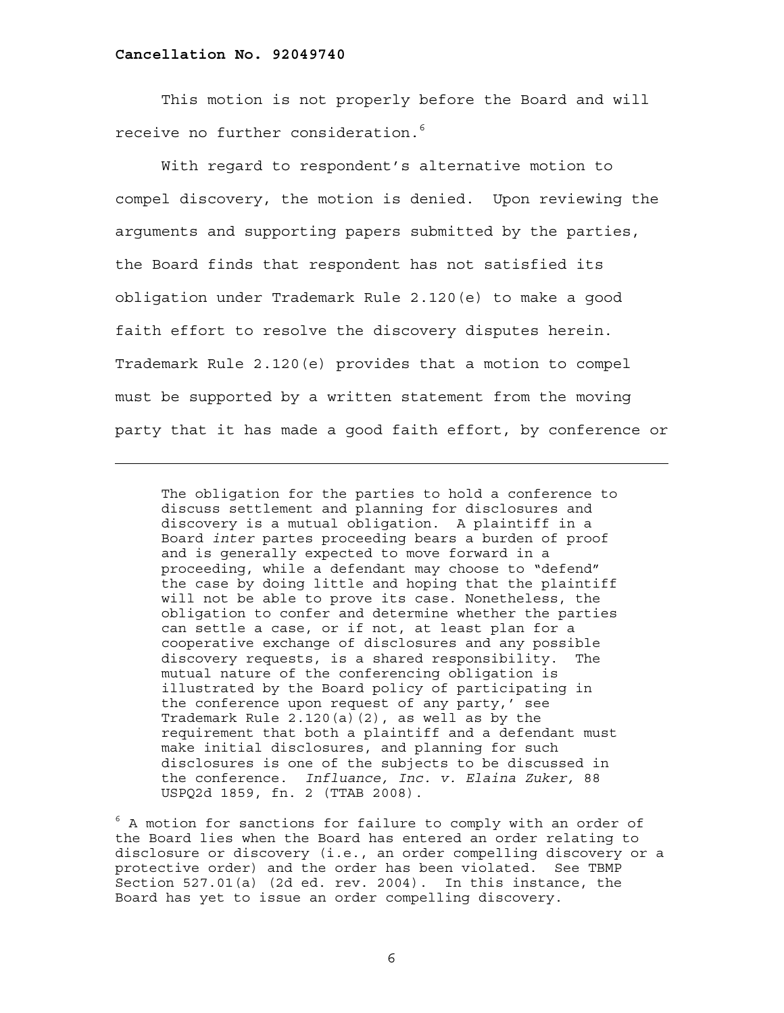—<br>—

This motion is not properly before the Board and will receive no further consideration. $^6$ 

With regard to respondent's alternative motion to compel discovery, the motion is denied. Upon reviewing the arguments and supporting papers submitted by the parties, the Board finds that respondent has not satisfied its obligation under Trademark Rule 2.120(e) to make a good faith effort to resolve the discovery disputes herein. Trademark Rule 2.120(e) provides that a motion to compel must be supported by a written statement from the moving party that it has made a good faith effort, by conference or

The obligation for the parties to hold a conference to discuss settlement and planning for disclosures and discovery is a mutual obligation. A plaintiff in a Board *inter* partes proceeding bears a burden of proof and is generally expected to move forward in a proceeding, while a defendant may choose to "defend" the case by doing little and hoping that the plaintiff will not be able to prove its case. Nonetheless, the obligation to confer and determine whether the parties can settle a case, or if not, at least plan for a cooperative exchange of disclosures and any possible discovery requests, is a shared responsibility. The mutual nature of the conferencing obligation is illustrated by the Board policy of participating in the conference upon request of any party,' see Trademark Rule  $2.120(a)(2)$ , as well as by the requirement that both a plaintiff and a defendant must make initial disclosures, and planning for such disclosures is one of the subjects to be discussed in the conference. *Influance, Inc. v. Elaina Zuker,* 88 USPQ2d 1859, fn. 2 (TTAB 2008).

 $6$  A motion for sanctions for failure to comply with an order of the Board lies when the Board has entered an order relating to disclosure or discovery (i.e., an order compelling discovery or a protective order) and the order has been violated. See TBMP Section 527.01(a) (2d ed. rev. 2004). In this instance, the Board has yet to issue an order compelling discovery.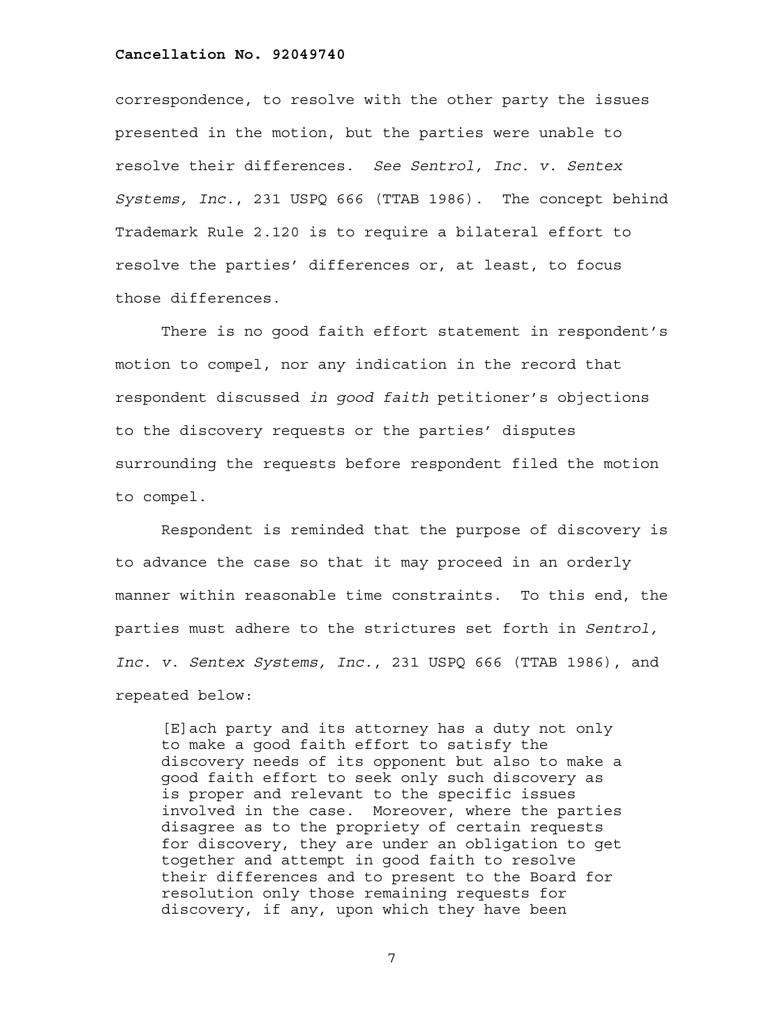correspondence, to resolve with the other party the issues presented in the motion, but the parties were unable to resolve their differences. *See Sentrol, Inc. v. Sentex Systems, Inc.*, 231 USPQ 666 (TTAB 1986). The concept behind Trademark Rule 2.120 is to require a bilateral effort to resolve the parties' differences or, at least, to focus those differences.

There is no good faith effort statement in respondent's motion to compel, nor any indication in the record that respondent discussed *in good faith* petitioner's objections to the discovery requests or the parties' disputes surrounding the requests before respondent filed the motion to compel.

Respondent is reminded that the purpose of discovery is to advance the case so that it may proceed in an orderly manner within reasonable time constraints. To this end, the parties must adhere to the strictures set forth in *Sentrol, Inc. v. Sentex Systems, Inc.*, 231 USPQ 666 (TTAB 1986), and repeated below:

[E]ach party and its attorney has a duty not only to make a good faith effort to satisfy the discovery needs of its opponent but also to make a good faith effort to seek only such discovery as is proper and relevant to the specific issues involved in the case. Moreover, where the parties disagree as to the propriety of certain requests for discovery, they are under an obligation to get together and attempt in good faith to resolve their differences and to present to the Board for resolution only those remaining requests for discovery, if any, upon which they have been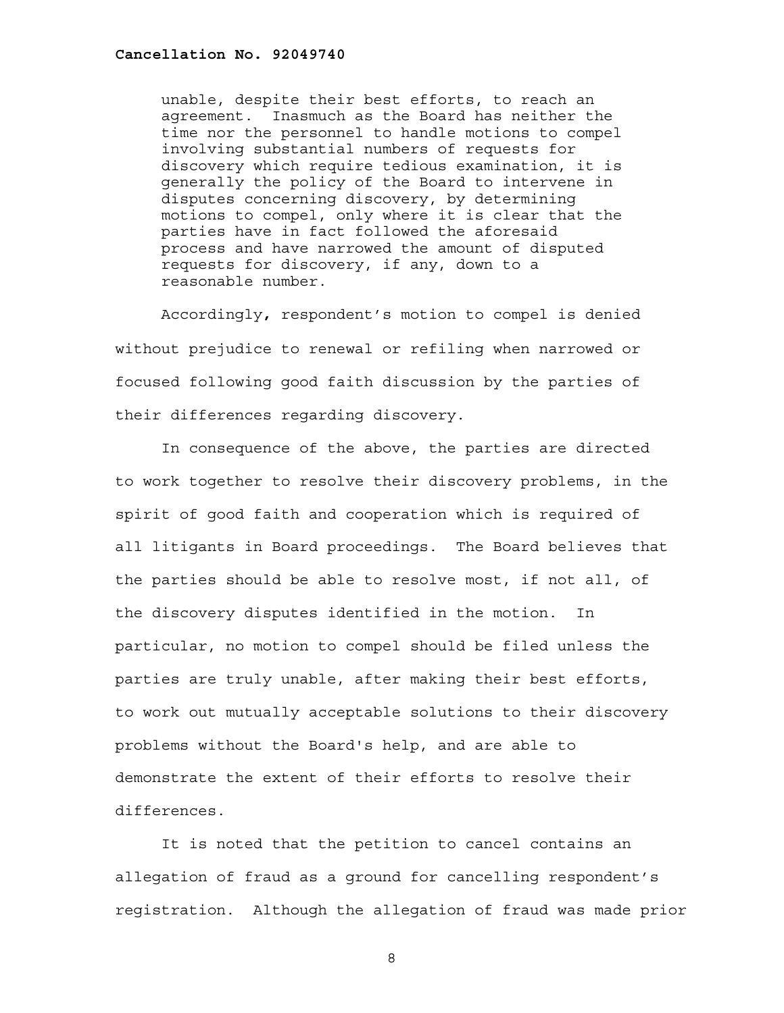unable, despite their best efforts, to reach an agreement. Inasmuch as the Board has neither the time nor the personnel to handle motions to compel involving substantial numbers of requests for discovery which require tedious examination, it is generally the policy of the Board to intervene in disputes concerning discovery, by determining motions to compel, only where it is clear that the parties have in fact followed the aforesaid process and have narrowed the amount of disputed requests for discovery, if any, down to a reasonable number.

Accordingly**,** respondent's motion to compel is denied without prejudice to renewal or refiling when narrowed or focused following good faith discussion by the parties of their differences regarding discovery.

In consequence of the above, the parties are directed to work together to resolve their discovery problems, in the spirit of good faith and cooperation which is required of all litigants in Board proceedings. The Board believes that the parties should be able to resolve most, if not all, of the discovery disputes identified in the motion. In particular, no motion to compel should be filed unless the parties are truly unable, after making their best efforts, to work out mutually acceptable solutions to their discovery problems without the Board's help, and are able to demonstrate the extent of their efforts to resolve their differences.

It is noted that the petition to cancel contains an allegation of fraud as a ground for cancelling respondent's registration. Although the allegation of fraud was made prior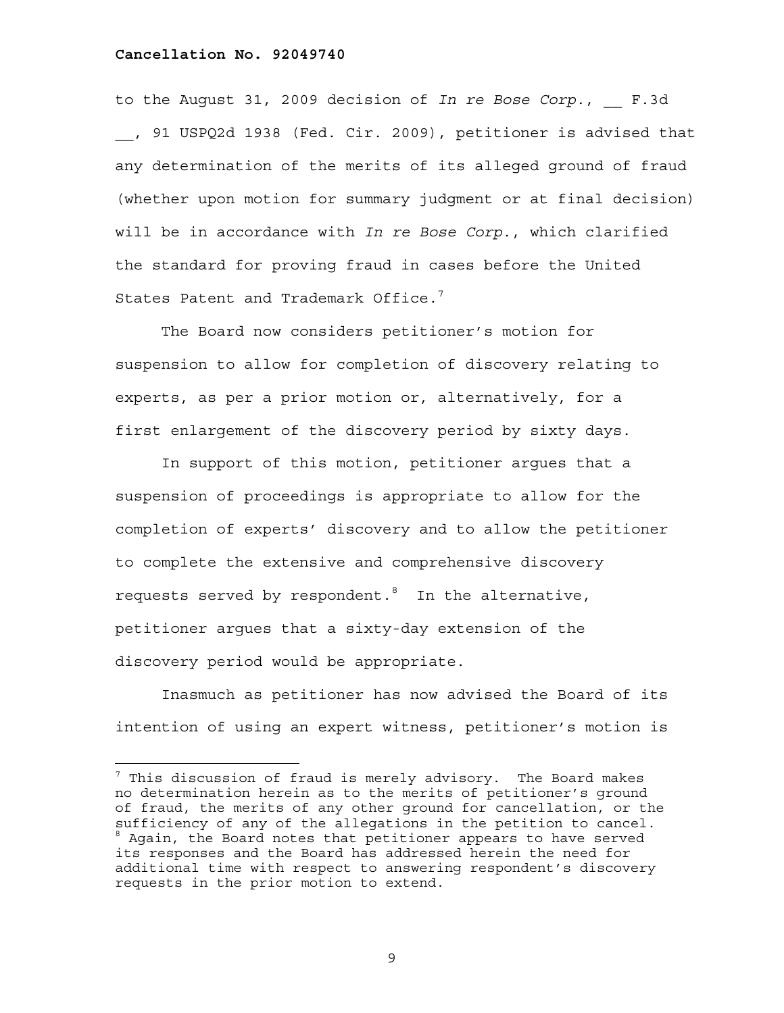÷.

to the August 31, 2009 decision of *In re Bose Corp.*, F.3d \_\_, 91 USPQ2d 1938 (Fed. Cir. 2009), petitioner is advised that any determination of the merits of its alleged ground of fraud (whether upon motion for summary judgment or at final decision) will be in accordance with *In re Bose Corp.*, which clarified the standard for proving fraud in cases before the United States Patent and Trademark Office. $<sup>7</sup>$ </sup>

The Board now considers petitioner's motion for suspension to allow for completion of discovery relating to experts, as per a prior motion or, alternatively, for a first enlargement of the discovery period by sixty days.

In support of this motion, petitioner argues that a suspension of proceedings is appropriate to allow for the completion of experts' discovery and to allow the petitioner to complete the extensive and comprehensive discovery requests served by respondent. $^8$  In the alternative, petitioner argues that a sixty-day extension of the discovery period would be appropriate.

Inasmuch as petitioner has now advised the Board of its intention of using an expert witness, petitioner's motion is

 $^7$  This discussion of fraud is merely advisory. The Board makes no determination herein as to the merits of petitioner's ground of fraud, the merits of any other ground for cancellation, or the sufficiency of any of the allegations in the petition to cancel. <sup>8</sup> Again, the Board notes that petitioner appears to have served its responses and the Board has addressed herein the need for additional time with respect to answering respondent's discovery requests in the prior motion to extend.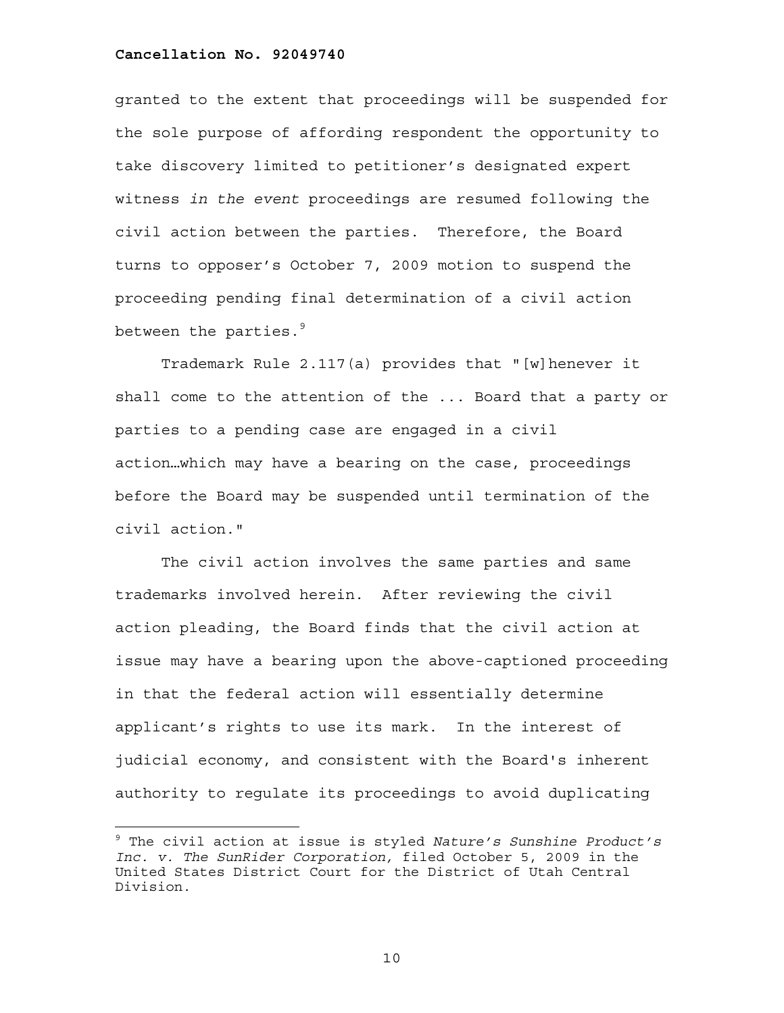granted to the extent that proceedings will be suspended for the sole purpose of affording respondent the opportunity to take discovery limited to petitioner's designated expert witness *in the event* proceedings are resumed following the civil action between the parties. Therefore, the Board turns to opposer's October 7, 2009 motion to suspend the proceeding pending final determination of a civil action between the parties. $9$ 

Trademark Rule 2.117(a) provides that "[w]henever it shall come to the attention of the ... Board that a party or parties to a pending case are engaged in a civil action…which may have a bearing on the case, proceedings before the Board may be suspended until termination of the civil action."

 The civil action involves the same parties and same trademarks involved herein. After reviewing the civil action pleading, the Board finds that the civil action at issue may have a bearing upon the above-captioned proceeding in that the federal action will essentially determine applicant's rights to use its mark. In the interest of judicial economy, and consistent with the Board's inherent authority to regulate its proceedings to avoid duplicating

<sup>9</sup> The civil action at issue is styled *Nature's Sunshine Product's Inc. v. The SunRider Corporation,* filed October 5, 2009 in the United States District Court for the District of Utah Central Division.